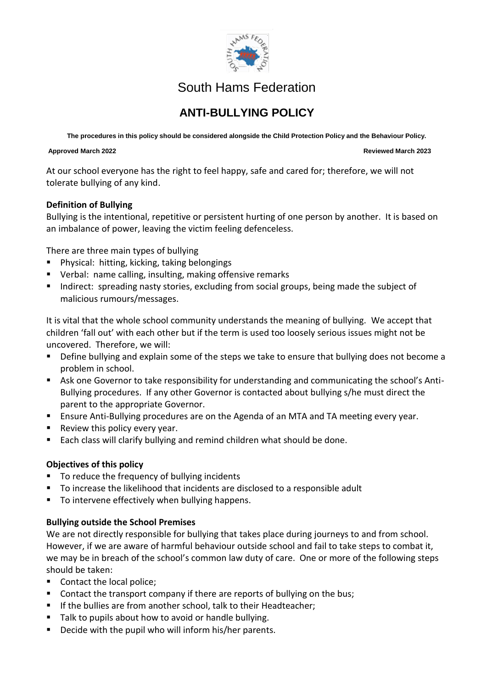

## South Hams Federation

# **ANTI-BULLYING POLICY**

**The procedures in this policy should be considered alongside the Child Protection Policy and the Behaviour Policy.**

### **Approved March 2022 Reviewed March 2023**

At our school everyone has the right to feel happy, safe and cared for; therefore, we will not tolerate bullying of any kind.

### **Definition of Bullying**

Bullying is the intentional, repetitive or persistent hurting of one person by another. It is based on an imbalance of power, leaving the victim feeling defenceless.

There are three main types of bullying

- Physical: hitting, kicking, taking belongings
- Verbal: name calling, insulting, making offensive remarks
- Indirect: spreading nasty stories, excluding from social groups, being made the subject of malicious rumours/messages.

It is vital that the whole school community understands the meaning of bullying. We accept that children 'fall out' with each other but if the term is used too loosely serious issues might not be uncovered. Therefore, we will:

- Define bullying and explain some of the steps we take to ensure that bullying does not become a problem in school.
- Ask one Governor to take responsibility for understanding and communicating the school's Anti-Bullying procedures. If any other Governor is contacted about bullying s/he must direct the parent to the appropriate Governor.
- **E** Ensure Anti-Bullying procedures are on the Agenda of an MTA and TA meeting every year.
- Review this policy every year.
- Each class will clarify bullying and remind children what should be done.

### **Objectives of this policy**

- To reduce the frequency of bullying incidents
- To increase the likelihood that incidents are disclosed to a responsible adult
- To intervene effectively when bullying happens.

### **Bullying outside the School Premises**

We are not directly responsible for bullying that takes place during journeys to and from school. However, if we are aware of harmful behaviour outside school and fail to take steps to combat it, we may be in breach of the school's common law duty of care. One or more of the following steps should be taken:

- Contact the local police;
- Contact the transport company if there are reports of bullying on the bus;
- If the bullies are from another school, talk to their Headteacher;
- Talk to pupils about how to avoid or handle bullying.
- Decide with the pupil who will inform his/her parents.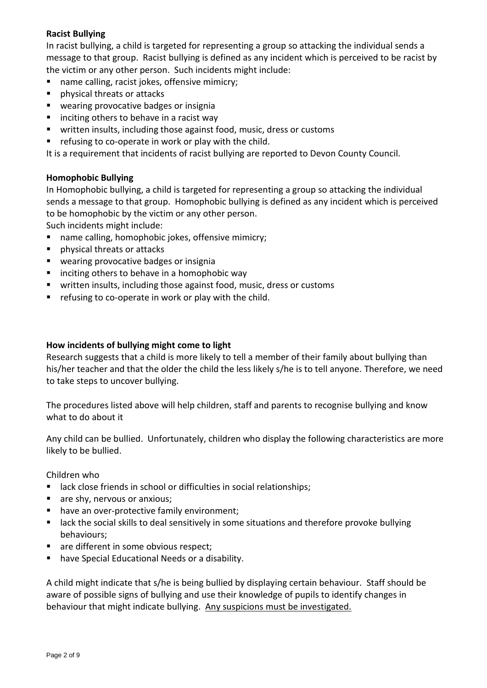### **Racist Bullying**

In racist bullying, a child is targeted for representing a group so attacking the individual sends a message to that group. Racist bullying is defined as any incident which is perceived to be racist by the victim or any other person. Such incidents might include:

- name calling, racist jokes, offensive mimicry;
- physical threats or attacks
- wearing provocative badges or insignia
- inciting others to behave in a racist way
- written insults, including those against food, music, dress or customs
- refusing to co-operate in work or play with the child.

It is a requirement that incidents of racist bullying are reported to Devon County Council.

### **Homophobic Bullying**

In Homophobic bullying, a child is targeted for representing a group so attacking the individual sends a message to that group. Homophobic bullying is defined as any incident which is perceived to be homophobic by the victim or any other person.

Such incidents might include:

- name calling, homophobic jokes, offensive mimicry;
- physical threats or attacks
- wearing provocative badges or insignia
- inciting others to behave in a homophobic way
- written insults, including those against food, music, dress or customs
- refusing to co-operate in work or play with the child.

### **How incidents of bullying might come to light**

Research suggests that a child is more likely to tell a member of their family about bullying than his/her teacher and that the older the child the less likely s/he is to tell anyone. Therefore, we need to take steps to uncover bullying.

The procedures listed above will help children, staff and parents to recognise bullying and know what to do about it

Any child can be bullied. Unfortunately, children who display the following characteristics are more likely to be bullied.

### Children who

- lack close friends in school or difficulties in social relationships;
- are shy, nervous or anxious;
- have an over-protective family environment;
- lack the social skills to deal sensitively in some situations and therefore provoke bullying behaviours;
- are different in some obvious respect;
- have Special Educational Needs or a disability.

A child might indicate that s/he is being bullied by displaying certain behaviour. Staff should be aware of possible signs of bullying and use their knowledge of pupils to identify changes in behaviour that might indicate bullying. Any suspicions must be investigated.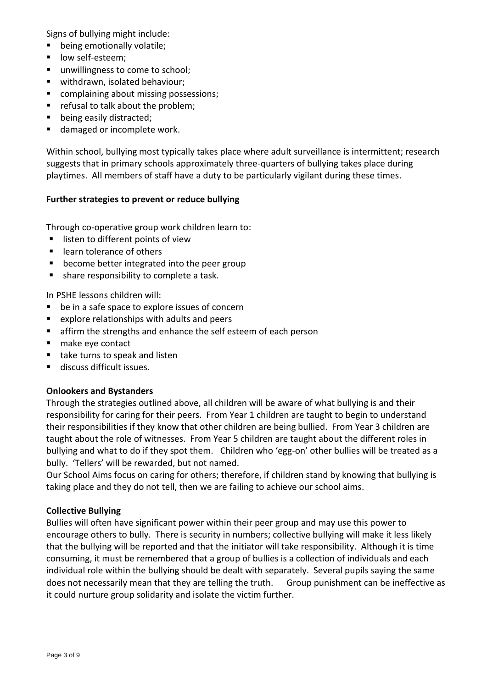Signs of bullying might include:

- being emotionally volatile;
- low self-esteem;
- unwillingness to come to school;
- withdrawn, isolated behaviour;
- complaining about missing possessions;
- refusal to talk about the problem;
- being easily distracted;
- damaged or incomplete work.

Within school, bullying most typically takes place where adult surveillance is intermittent; research suggests that in primary schools approximately three-quarters of bullying takes place during playtimes. All members of staff have a duty to be particularly vigilant during these times.

### **Further strategies to prevent or reduce bullying**

Through co-operative group work children learn to:

- listen to different points of view
- learn tolerance of others
- become better integrated into the peer group
- share responsibility to complete a task.

In PSHE lessons children will:

- be in a safe space to explore issues of concern
- explore relationships with adults and peers
- **E** affirm the strengths and enhance the self esteem of each person
- make eye contact
- take turns to speak and listen
- discuss difficult issues.

### **Onlookers and Bystanders**

Through the strategies outlined above, all children will be aware of what bullying is and their responsibility for caring for their peers. From Year 1 children are taught to begin to understand their responsibilities if they know that other children are being bullied. From Year 3 children are taught about the role of witnesses. From Year 5 children are taught about the different roles in bullying and what to do if they spot them. Children who 'egg-on' other bullies will be treated as a bully. 'Tellers' will be rewarded, but not named.

Our School Aims focus on caring for others; therefore, if children stand by knowing that bullying is taking place and they do not tell, then we are failing to achieve our school aims.

### **Collective Bullying**

Bullies will often have significant power within their peer group and may use this power to encourage others to bully. There is security in numbers; collective bullying will make it less likely that the bullying will be reported and that the initiator will take responsibility. Although it is time consuming, it must be remembered that a group of bullies is a collection of individuals and each individual role within the bullying should be dealt with separately. Several pupils saying the same does not necessarily mean that they are telling the truth. Group punishment can be ineffective as it could nurture group solidarity and isolate the victim further.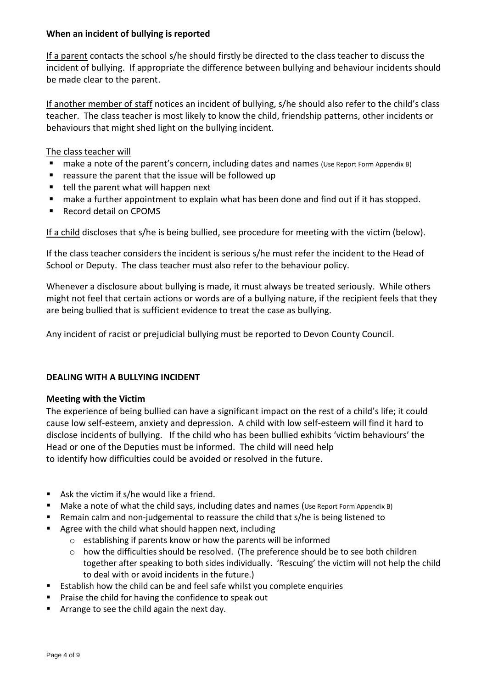### **When an incident of bullying is reported**

If a parent contacts the school s/he should firstly be directed to the class teacher to discuss the incident of bullying. If appropriate the difference between bullying and behaviour incidents should be made clear to the parent.

If another member of staff notices an incident of bullying, s/he should also refer to the child's class teacher. The class teacher is most likely to know the child, friendship patterns, other incidents or behaviours that might shed light on the bullying incident.

### The class teacher will

- make a note of the parent's concern, including dates and names (Use Report Form Appendix B)
- reassure the parent that the issue will be followed up
- tell the parent what will happen next
- make a further appointment to explain what has been done and find out if it has stopped.
- Record detail on CPOMS

If a child discloses that s/he is being bullied, see procedure for meeting with the victim (below).

If the class teacher considers the incident is serious s/he must refer the incident to the Head of School or Deputy. The class teacher must also refer to the behaviour policy.

Whenever a disclosure about bullying is made, it must always be treated seriously. While others might not feel that certain actions or words are of a bullying nature, if the recipient feels that they are being bullied that is sufficient evidence to treat the case as bullying.

Any incident of racist or prejudicial bullying must be reported to Devon County Council.

### **DEALING WITH A BULLYING INCIDENT**

### **Meeting with the Victim**

The experience of being bullied can have a significant impact on the rest of a child's life; it could cause low self-esteem, anxiety and depression. A child with low self-esteem will find it hard to disclose incidents of bullying. If the child who has been bullied exhibits 'victim behaviours' the Head or one of the Deputies must be informed. The child will need help to identify how difficulties could be avoided or resolved in the future.

- Ask the victim if s/he would like a friend.
- Make a note of what the child says, including dates and names (Use Report Form Appendix B)
- Remain calm and non-judgemental to reassure the child that s/he is being listened to
- Agree with the child what should happen next, including
	- o establishing if parents know or how the parents will be informed
	- $\circ$  how the difficulties should be resolved. (The preference should be to see both children together after speaking to both sides individually. 'Rescuing' the victim will not help the child to deal with or avoid incidents in the future.)
- Establish how the child can be and feel safe whilst you complete enquiries
- Praise the child for having the confidence to speak out
- Arrange to see the child again the next day.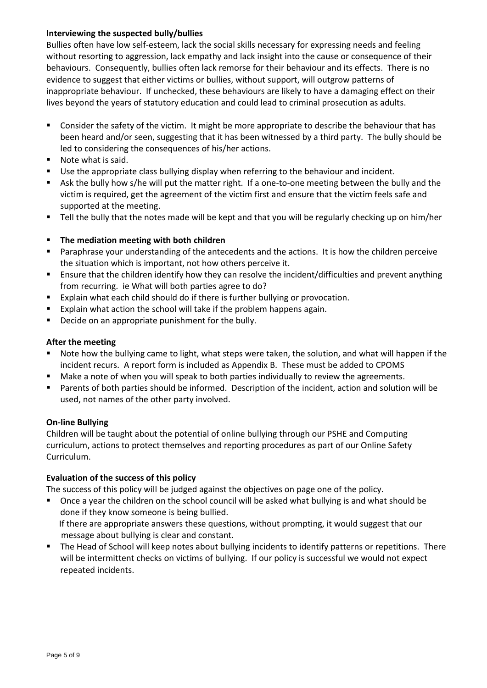### **Interviewing the suspected bully/bullies**

Bullies often have low self-esteem, lack the social skills necessary for expressing needs and feeling without resorting to aggression, lack empathy and lack insight into the cause or consequence of their behaviours. Consequently, bullies often lack remorse for their behaviour and its effects. There is no evidence to suggest that either victims or bullies, without support, will outgrow patterns of inappropriate behaviour. If unchecked, these behaviours are likely to have a damaging effect on their lives beyond the years of statutory education and could lead to criminal prosecution as adults.

- Consider the safety of the victim. It might be more appropriate to describe the behaviour that has been heard and/or seen, suggesting that it has been witnessed by a third party. The bully should be led to considering the consequences of his/her actions.
- Note what is said.
- Use the appropriate class bullying display when referring to the behaviour and incident.
- Ask the bully how s/he will put the matter right. If a one-to-one meeting between the bully and the victim is required, get the agreement of the victim first and ensure that the victim feels safe and supported at the meeting.
- Tell the bully that the notes made will be kept and that you will be regularly checking up on him/her

### ▪ **The mediation meeting with both children**

- Paraphrase your understanding of the antecedents and the actions. It is how the children perceive the situation which is important, not how others perceive it.
- Ensure that the children identify how they can resolve the incident/difficulties and prevent anything from recurring. ie What will both parties agree to do?
- Explain what each child should do if there is further bullying or provocation.
- Explain what action the school will take if the problem happens again.
- Decide on an appropriate punishment for the bully.

### **After the meeting**

- Note how the bullying came to light, what steps were taken, the solution, and what will happen if the incident recurs. A report form is included as Appendix B. These must be added to CPOMS
- Make a note of when you will speak to both parties individually to review the agreements.
- Parents of both parties should be informed. Description of the incident, action and solution will be used, not names of the other party involved.

### **On-line Bullying**

Children will be taught about the potential of online bullying through our PSHE and Computing curriculum, actions to protect themselves and reporting procedures as part of our Online Safety Curriculum.

### **Evaluation of the success of this policy**

The success of this policy will be judged against the objectives on page one of the policy.

■ Once a year the children on the school council will be asked what bullying is and what should be done if they know someone is being bullied.

 If there are appropriate answers these questions, without prompting, it would suggest that our message about bullying is clear and constant.

■ The Head of School will keep notes about bullying incidents to identify patterns or repetitions. There will be intermittent checks on victims of bullying. If our policy is successful we would not expect repeated incidents.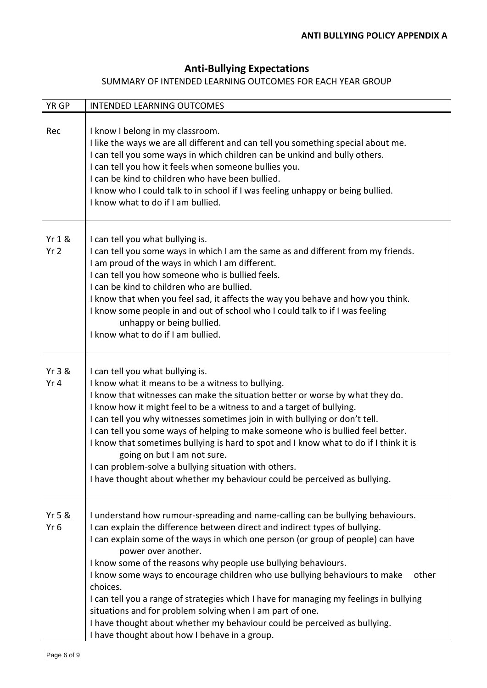### **Anti-Bullying Expectations**

### SUMMARY OF INTENDED LEARNING OUTCOMES FOR EACH YEAR GROUP

| YR GP                                | <b>INTENDED LEARNING OUTCOMES</b>                                                                                                                                                                                                                                                                                                                                                                                                                                                                                                                                                                                                                                                                                                  |
|--------------------------------------|------------------------------------------------------------------------------------------------------------------------------------------------------------------------------------------------------------------------------------------------------------------------------------------------------------------------------------------------------------------------------------------------------------------------------------------------------------------------------------------------------------------------------------------------------------------------------------------------------------------------------------------------------------------------------------------------------------------------------------|
| Rec                                  | I know I belong in my classroom.<br>I like the ways we are all different and can tell you something special about me.<br>I can tell you some ways in which children can be unkind and bully others.<br>I can tell you how it feels when someone bullies you.<br>I can be kind to children who have been bullied.<br>I know who I could talk to in school if I was feeling unhappy or being bullied.<br>I know what to do if I am bullied.                                                                                                                                                                                                                                                                                          |
| <b>Yr 1 &amp;</b><br>Yr <sub>2</sub> | I can tell you what bullying is.<br>I can tell you some ways in which I am the same as and different from my friends.<br>I am proud of the ways in which I am different.<br>I can tell you how someone who is bullied feels.<br>I can be kind to children who are bullied.<br>I know that when you feel sad, it affects the way you behave and how you think.<br>I know some people in and out of school who I could talk to if I was feeling<br>unhappy or being bullied.<br>I know what to do if I am bullied.                                                                                                                                                                                                                   |
| Yr 3 &<br>Yr <sub>4</sub>            | I can tell you what bullying is.<br>I know what it means to be a witness to bullying.<br>I know that witnesses can make the situation better or worse by what they do.<br>I know how it might feel to be a witness to and a target of bullying.<br>I can tell you why witnesses sometimes join in with bullying or don't tell.<br>I can tell you some ways of helping to make someone who is bullied feel better.<br>I know that sometimes bullying is hard to spot and I know what to do if I think it is<br>going on but I am not sure.<br>I can problem-solve a bullying situation with others.<br>I have thought about whether my behaviour could be perceived as bullying.                                                    |
| Yr 5 &<br>Yr 6                       | I understand how rumour-spreading and name-calling can be bullying behaviours.<br>I can explain the difference between direct and indirect types of bullying.<br>I can explain some of the ways in which one person (or group of people) can have<br>power over another.<br>I know some of the reasons why people use bullying behaviours.<br>I know some ways to encourage children who use bullying behaviours to make<br>other<br>choices.<br>I can tell you a range of strategies which I have for managing my feelings in bullying<br>situations and for problem solving when I am part of one.<br>I have thought about whether my behaviour could be perceived as bullying.<br>I have thought about how I behave in a group. |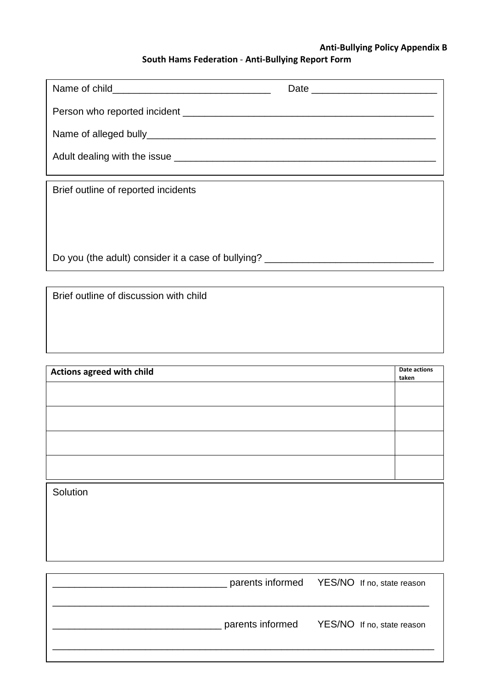### **Anti-Bullying Policy Appendix B South Hams Federation** - **Anti-Bullying Report Form**

| Brief outline of reported incidents                                              |  |  |  |  |  |
|----------------------------------------------------------------------------------|--|--|--|--|--|
|                                                                                  |  |  |  |  |  |
|                                                                                  |  |  |  |  |  |
| Do you (the adult) consider it a case of bullying? _____________________________ |  |  |  |  |  |

Brief outline of discussion with child

| Actions agreed with child |  |  |
|---------------------------|--|--|
|                           |  |  |
|                           |  |  |
|                           |  |  |
|                           |  |  |
| Solution                  |  |  |
|                           |  |  |

| parents informed YES/NO If no, state reason |
|---------------------------------------------|
| parents informed YES/NO If no, state reason |
|                                             |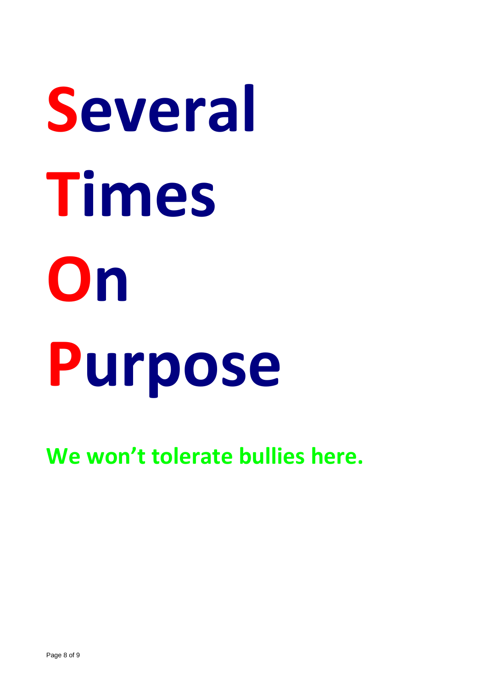# **Several Times On Purpose**

**We won't tolerate bullies here.**